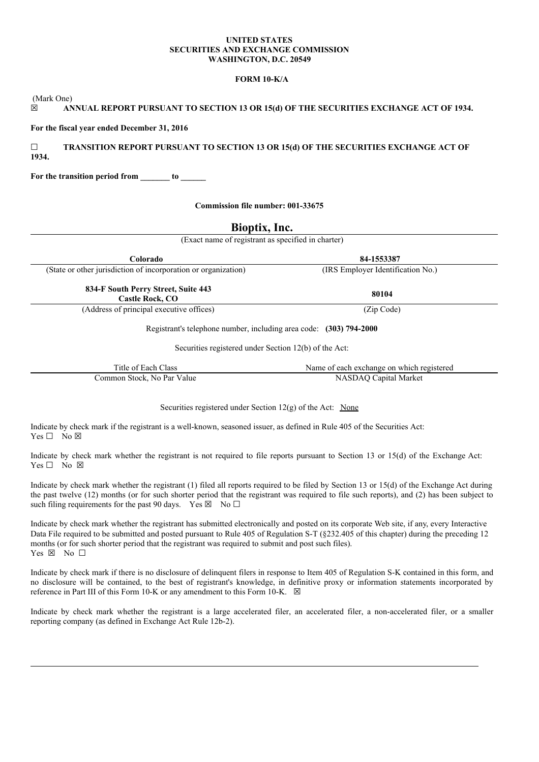### **UNITED STATES SECURITIES AND EXCHANGE COMMISSION WASHINGTON, D.C. 20549**

## **FORM 10-K/A**

(Mark One)

## ☒ **ANNUAL REPORT PURSUANT TO SECTION 13 OR 15(d) OF THE SECURITIES EXCHANGE ACT OF 1934.**

**For the fiscal year ended December 31, 2016**

## ☐ **TRANSITION REPORT PURSUANT TO SECTION 13 OR 15(d) OF THE SECURITIES EXCHANGE ACT OF 1934.**

**For the transition period from \_\_\_\_\_\_\_ to \_\_\_\_\_\_**

**Commission file number: 001-33675**

(Exact name of registrant as specified in charter)

| Colorado                                                                                            | 84-1553387                                |  |
|-----------------------------------------------------------------------------------------------------|-------------------------------------------|--|
| (State or other jurisdiction of incorporation or organization)<br>(IRS Employer Identification No.) |                                           |  |
| 834-F South Perry Street, Suite 443<br><b>Castle Rock, CO</b>                                       | 80104                                     |  |
| (Address of principal executive offices)                                                            | (Zip Code)                                |  |
| Registrant's telephone number, including area code: (303) 794-2000                                  |                                           |  |
| Securities registered under Section 12(b) of the Act:                                               |                                           |  |
| Title of Each Class                                                                                 | Name of each exchange on which registered |  |
| Common Stock, No Par Value                                                                          | NASDAO Capital Market                     |  |

Securities registered under Section 12(g) of the Act: None

Indicate by check mark if the registrant is a well-known, seasoned issuer, as defined in Rule 405 of the Securities Act: Yes □ No ⊠

Indicate by check mark whether the registrant is not required to file reports pursuant to Section 13 or 15(d) of the Exchange Act:  $Yes \Box No \boxtimes$ 

Indicate by check mark whether the registrant (1) filed all reports required to be filed by Section 13 or 15(d) of the Exchange Act during the past twelve (12) months (or for such shorter period that the registrant was required to file such reports), and (2) has been subject to such filing requirements for the past 90 days. Yes  $\boxtimes$  No  $\Box$ 

Indicate by check mark whether the registrant has submitted electronically and posted on its corporate Web site, if any, every Interactive Data File required to be submitted and posted pursuant to Rule 405 of Regulation S-T (§232.405 of this chapter) during the preceding 12 months (or for such shorter period that the registrant was required to submit and post such files). Yes  $\boxtimes$  No  $\Box$ 

Indicate by check mark if there is no disclosure of delinquent filers in response to Item 405 of Regulation S-K contained in this form, and no disclosure will be contained, to the best of registrant's knowledge, in definitive proxy or information statements incorporated by reference in Part III of this Form 10-K or any amendment to this Form 10-K.  $\boxtimes$ 

Indicate by check mark whether the registrant is a large accelerated filer, an accelerated filer, a non-accelerated filer, or a smaller reporting company (as defined in Exchange Act Rule 12b-2).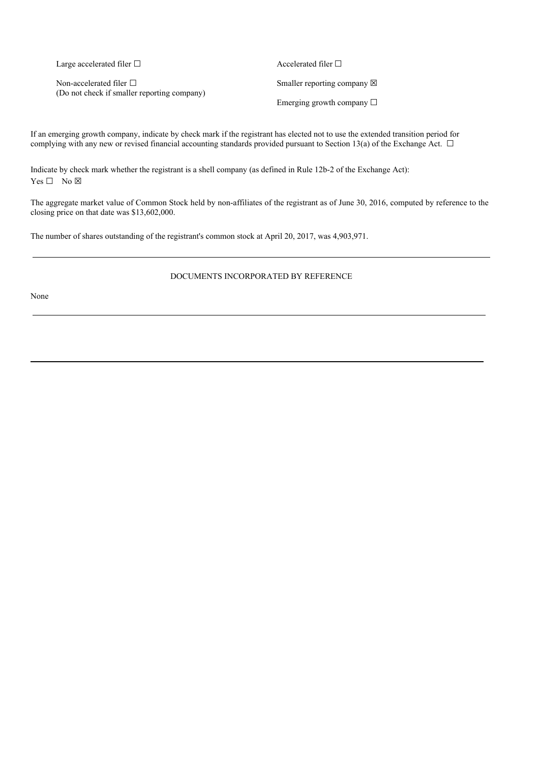| Large accelerated filer $\Box$                                                 | Accelerated filer $\Box$              |
|--------------------------------------------------------------------------------|---------------------------------------|
| Non-accelerated filer $\square$<br>(Do not check if smaller reporting company) | Smaller reporting company $\boxtimes$ |
|                                                                                | Emerging growth company $\Box$        |

If an emerging growth company, indicate by check mark if the registrant has elected not to use the extended transition period for complying with any new or revised financial accounting standards provided pursuant to Section 13(a) of the Exchange Act.  $\Box$ 

Indicate by check mark whether the registrant is a shell company (as defined in Rule 12b-2 of the Exchange Act):  $Yes \Box No \boxtimes$ 

The aggregate market value of Common Stock held by non-affiliates of the registrant as of June 30, 2016, computed by reference to the closing price on that date was \$13,602,000.

The number of shares outstanding of the registrant's common stock at April 20, 2017, was 4,903,971.

# DOCUMENTS INCORPORATED BY REFERENCE

None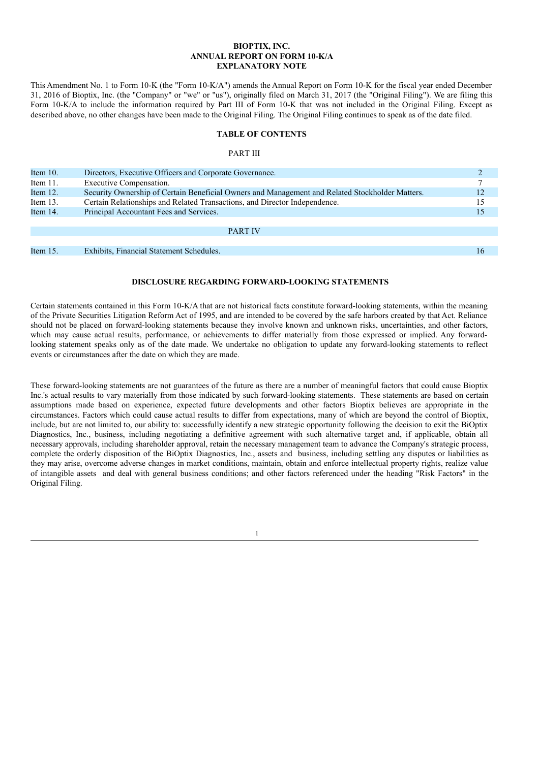#### **BIOPTIX, INC. ANNUAL REPORT ON FORM 10-K/A EXPLANATORY NOTE**

This Amendment No. 1 to Form 10-K (the "Form 10-K/A") amends the Annual Report on Form 10-K for the fiscal year ended December 31, 2016 of Bioptix, Inc. (the "Company" or "we" or "us"), originally filed on March 31, 2017 (the "Original Filing"). We are filing this Form 10-K/A to include the information required by Part III of Form 10-K that was not included in the Original Filing. Except as described above, no other changes have been made to the Original Filing. The Original Filing continues to speak as of the date filed.

## **TABLE OF CONTENTS**

#### PART III

| Item $10$ . | Directors, Executive Officers and Corporate Governance.                                         |    |
|-------------|-------------------------------------------------------------------------------------------------|----|
| Item $11$ . | Executive Compensation.                                                                         |    |
| Item $12$ . | Security Ownership of Certain Beneficial Owners and Management and Related Stockholder Matters. | 12 |
| Item $13$ . | Certain Relationships and Related Transactions, and Director Independence.                      | 15 |
| Item $14$ . | Principal Accountant Fees and Services.                                                         | 15 |
|             |                                                                                                 |    |
|             | <b>PART IV</b>                                                                                  |    |
|             |                                                                                                 |    |
| Item $15$ . | Exhibits, Financial Statement Schedules.                                                        | 16 |

## **DISCLOSURE REGARDING FORWARD-LOOKING STATEMENTS**

Certain statements contained in this Form 10-K/A that are not historical facts constitute forward-looking statements, within the meaning of the Private Securities Litigation Reform Act of 1995, and are intended to be covered by the safe harbors created by that Act. Reliance should not be placed on forward-looking statements because they involve known and unknown risks, uncertainties, and other factors, which may cause actual results, performance, or achievements to differ materially from those expressed or implied. Any forwardlooking statement speaks only as of the date made. We undertake no obligation to update any forward-looking statements to reflect events or circumstances after the date on which they are made.

These forward-looking statements are not guarantees of the future as there are a number of meaningful factors that could cause Bioptix Inc.'s actual results to vary materially from those indicated by such forward-looking statements. These statements are based on certain assumptions made based on experience, expected future developments and other factors Bioptix believes are appropriate in the circumstances. Factors which could cause actual results to differ from expectations, many of which are beyond the control of Bioptix, include, but are not limited to, our ability to: successfully identify a new strategic opportunity following the decision to exit the BiOptix Diagnostics, Inc., business, including negotiating a definitive agreement with such alternative target and, if applicable, obtain all necessary approvals, including shareholder approval, retain the necessary management team to advance the Company's strategic process, complete the orderly disposition of the BiOptix Diagnostics, Inc., assets and business, including settling any disputes or liabilities as they may arise, overcome adverse changes in market conditions, maintain, obtain and enforce intellectual property rights, realize value of intangible assets and deal with general business conditions; and other factors referenced under the heading "Risk Factors" in the Original Filing.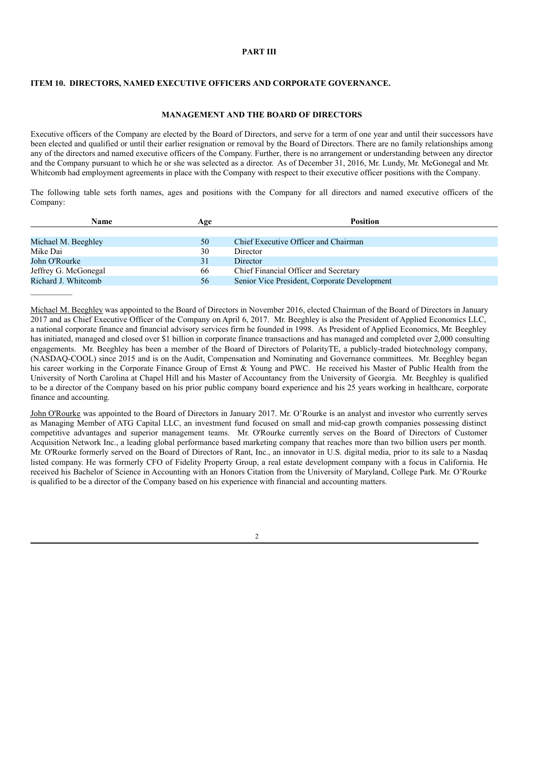#### **PART III**

## **ITEM 10. DIRECTORS, NAMED EXECUTIVE OFFICERS AND CORPORATE GOVERNANCE.**

## **MANAGEMENT AND THE BOARD OF DIRECTORS**

Executive officers of the Company are elected by the Board of Directors, and serve for a term of one year and until their successors have been elected and qualified or until their earlier resignation or removal by the Board of Directors. There are no family relationships among any of the directors and named executive officers of the Company. Further, there is no arrangement or understanding between any director and the Company pursuant to which he or she was selected as a director. As of December 31, 2016, Mr. Lundy, Mr. McGonegal and Mr. Whitcomb had employment agreements in place with the Company with respect to their executive officer positions with the Company.

The following table sets forth names, ages and positions with the Company for all directors and named executive officers of the Company:

| <b>Name</b>          | Age | <b>Position</b>                              |  |
|----------------------|-----|----------------------------------------------|--|
|                      |     |                                              |  |
| Michael M. Beeghley  | 50  | Chief Executive Officer and Chairman         |  |
| Mike Dai             | 30  | Director                                     |  |
| John O'Rourke        | 31  | Director                                     |  |
| Jeffrey G. McGonegal | 66  | Chief Financial Officer and Secretary        |  |
| Richard J. Whitcomb  | 56  | Senior Vice President, Corporate Development |  |
|                      |     |                                              |  |

Michael M. Beeghley was appointed to the Board of Directors in November 2016, elected Chairman of the Board of Directors in January 2017 and as Chief Executive Officer of the Company on April 6, 2017. Mr. Beeghley is also the President of Applied Economics LLC, a national corporate finance and financial advisory services firm he founded in 1998. As President of Applied Economics, Mr. Beeghley has initiated, managed and closed over \$1 billion in corporate finance transactions and has managed and completed over 2,000 consulting engagements. Mr. Beeghley has been a member of the Board of Directors of PolarityTE, a publicly-traded biotechnology company, (NASDAQ-COOL) since 2015 and is on the Audit, Compensation and Nominating and Governance committees. Mr. Beeghley began his career working in the Corporate Finance Group of Ernst & Young and PWC. He received his Master of Public Health from the University of North Carolina at Chapel Hill and his Master of Accountancy from the University of Georgia. Mr. Beeghley is qualified to be a director of the Company based on his prior public company board experience and his 25 years working in healthcare, corporate finance and accounting.

John O'Rourke was appointed to the Board of Directors in January 2017. Mr. O'Rourke is an analyst and investor who currently serves as Managing Member of ATG Capital LLC, an investment fund focused on small and mid-cap growth companies possessing distinct competitive advantages and superior management teams. Mr. O'Rourke currently serves on the Board of Directors of Customer Acquisition Network Inc., a leading global performance based marketing company that reaches more than two billion users per month. Mr. O'Rourke formerly served on the Board of Directors of Rant, Inc., an innovator in U.S. digital media, prior to its sale to a Nasdaq listed company. He was formerly CFO of Fidelity Property Group, a real estate development company with a focus in California. He received his Bachelor of Science in Accounting with an Honors Citation from the University of Maryland, College Park. Mr. O'Rourke is qualified to be a director of the Company based on his experience with financial and accounting matters.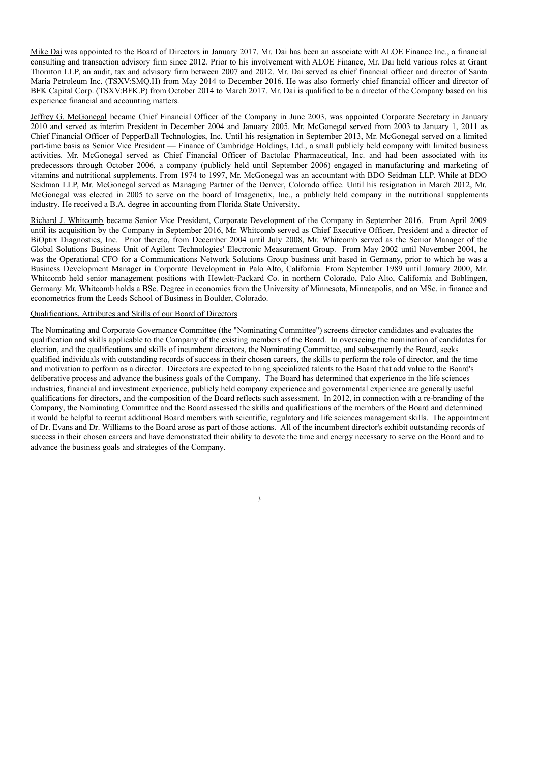Mike Dai was appointed to the Board of Directors in January 2017. Mr. Dai has been an associate with ALOE Finance Inc., a financial consulting and transaction advisory firm since 2012. Prior to his involvement with ALOE Finance, Mr. Dai held various roles at Grant Thornton LLP, an audit, tax and advisory firm between 2007 and 2012. Mr. Dai served as chief financial officer and director of Santa Maria Petroleum Inc. (TSXV:SMQ.H) from May 2014 to December 2016. He was also formerly chief financial officer and director of BFK Capital Corp. (TSXV:BFK.P) from October 2014 to March 2017. Mr. Dai is qualified to be a director of the Company based on his experience financial and accounting matters.

Jeffrey G. McGonegal became Chief Financial Officer of the Company in June 2003, was appointed Corporate Secretary in January 2010 and served as interim President in December 2004 and January 2005. Mr. McGonegal served from 2003 to January 1, 2011 as Chief Financial Officer of PepperBall Technologies, Inc. Until his resignation in September 2013, Mr. McGonegal served on a limited part-time basis as Senior Vice President — Finance of Cambridge Holdings, Ltd., a small publicly held company with limited business activities. Mr. McGonegal served as Chief Financial Officer of Bactolac Pharmaceutical, Inc. and had been associated with its predecessors through October 2006, a company (publicly held until September 2006) engaged in manufacturing and marketing of vitamins and nutritional supplements. From 1974 to 1997, Mr. McGonegal was an accountant with BDO Seidman LLP. While at BDO Seidman LLP, Mr. McGonegal served as Managing Partner of the Denver, Colorado office. Until his resignation in March 2012, Mr. McGonegal was elected in 2005 to serve on the board of Imagenetix, Inc., a publicly held company in the nutritional supplements industry. He received a B.A. degree in accounting from Florida State University.

Richard J. Whitcomb became Senior Vice President, Corporate Development of the Company in September 2016. From April 2009 until its acquisition by the Company in September 2016, Mr. Whitcomb served as Chief Executive Officer, President and a director of BiOptix Diagnostics, Inc. Prior thereto, from December 2004 until July 2008, Mr. Whitcomb served as the Senior Manager of the Global Solutions Business Unit of Agilent Technologies' Electronic Measurement Group. From May 2002 until November 2004, he was the Operational CFO for a Communications Network Solutions Group business unit based in Germany, prior to which he was a Business Development Manager in Corporate Development in Palo Alto, California. From September 1989 until January 2000, Mr. Whitcomb held senior management positions with Hewlett-Packard Co. in northern Colorado, Palo Alto, California and Boblingen, Germany. Mr. Whitcomb holds a BSc. Degree in economics from the University of Minnesota, Minneapolis, and an MSc. in finance and econometrics from the Leeds School of Business in Boulder, Colorado.

#### Qualifications, Attributes and Skills of our Board of Directors

The Nominating and Corporate Governance Committee (the "Nominating Committee") screens director candidates and evaluates the qualification and skills applicable to the Company of the existing members of the Board. In overseeing the nomination of candidates for election, and the qualifications and skills of incumbent directors, the Nominating Committee, and subsequently the Board, seeks qualified individuals with outstanding records of success in their chosen careers, the skills to perform the role of director, and the time and motivation to perform as a director. Directors are expected to bring specialized talents to the Board that add value to the Board's deliberative process and advance the business goals of the Company. The Board has determined that experience in the life sciences industries, financial and investment experience, publicly held company experience and governmental experience are generally useful qualifications for directors, and the composition of the Board reflects such assessment. In 2012, in connection with a re-branding of the Company, the Nominating Committee and the Board assessed the skills and qualifications of the members of the Board and determined it would be helpful to recruit additional Board members with scientific, regulatory and life sciences management skills. The appointment of Dr. Evans and Dr. Williams to the Board arose as part of those actions. All of the incumbent director's exhibit outstanding records of success in their chosen careers and have demonstrated their ability to devote the time and energy necessary to serve on the Board and to advance the business goals and strategies of the Company.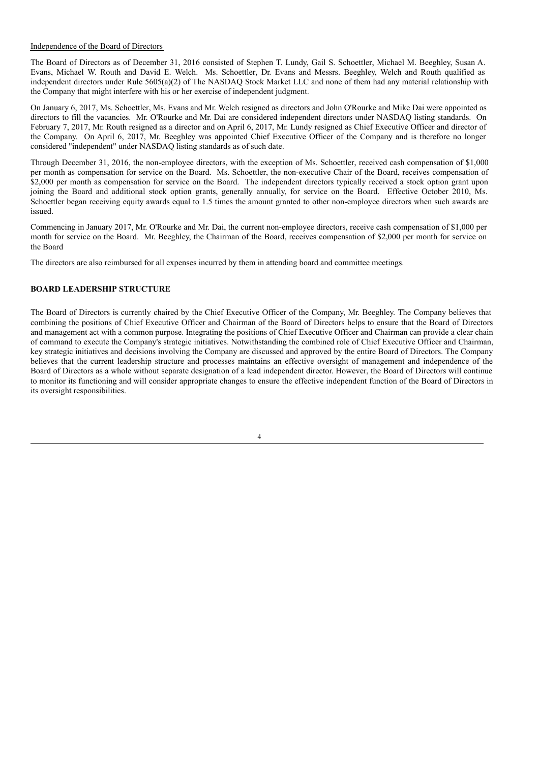Independence of the Board of Directors

The Board of Directors as of December 31, 2016 consisted of Stephen T. Lundy, Gail S. Schoettler, Michael M. Beeghley, Susan A. Evans, Michael W. Routh and David E. Welch. Ms. Schoettler, Dr. Evans and Messrs. Beeghley, Welch and Routh qualified as independent directors under Rule 5605(a)(2) of The NASDAQ Stock Market LLC and none of them had any material relationship with the Company that might interfere with his or her exercise of independent judgment.

On January 6, 2017, Ms. Schoettler, Ms. Evans and Mr. Welch resigned as directors and John O'Rourke and Mike Dai were appointed as directors to fill the vacancies. Mr. O'Rourke and Mr. Dai are considered independent directors under NASDAQ listing standards. On February 7, 2017, Mr. Routh resigned as a director and on April 6, 2017, Mr. Lundy resigned as Chief Executive Officer and director of the Company. On April 6, 2017, Mr. Beeghley was appointed Chief Executive Officer of the Company and is therefore no longer considered "independent" under NASDAQ listing standards as of such date.

Through December 31, 2016, the non-employee directors, with the exception of Ms. Schoettler, received cash compensation of \$1,000 per month as compensation for service on the Board. Ms. Schoettler, the non-executive Chair of the Board, receives compensation of \$2,000 per month as compensation for service on the Board. The independent directors typically received a stock option grant upon joining the Board and additional stock option grants, generally annually, for service on the Board. Effective October 2010, Ms. Schoettler began receiving equity awards equal to 1.5 times the amount granted to other non-employee directors when such awards are issued.

Commencing in January 2017, Mr. O'Rourke and Mr. Dai, the current non-employee directors, receive cash compensation of \$1,000 per month for service on the Board. Mr. Beeghley, the Chairman of the Board, receives compensation of \$2,000 per month for service on the Board

The directors are also reimbursed for all expenses incurred by them in attending board and committee meetings.

## **BOARD LEADERSHIP STRUCTURE**

The Board of Directors is currently chaired by the Chief Executive Officer of the Company, Mr. Beeghley. The Company believes that combining the positions of Chief Executive Officer and Chairman of the Board of Directors helps to ensure that the Board of Directors and management act with a common purpose. Integrating the positions of Chief Executive Officer and Chairman can provide a clear chain of command to execute the Company's strategic initiatives. Notwithstanding the combined role of Chief Executive Officer and Chairman, key strategic initiatives and decisions involving the Company are discussed and approved by the entire Board of Directors. The Company believes that the current leadership structure and processes maintains an effective oversight of management and independence of the Board of Directors as a whole without separate designation of a lead independent director. However, the Board of Directors will continue to monitor its functioning and will consider appropriate changes to ensure the effective independent function of the Board of Directors in its oversight responsibilities.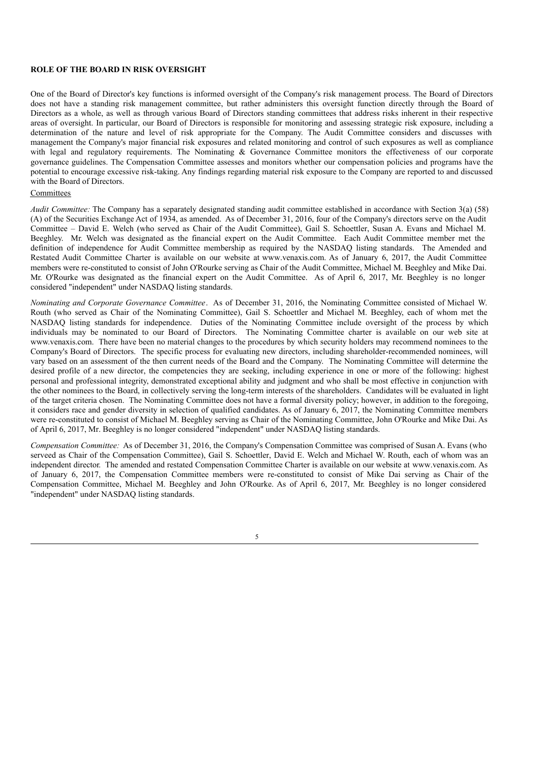#### **ROLE OF THE BOARD IN RISK OVERSIGHT**

One of the Board of Director's key functions is informed oversight of the Company's risk management process. The Board of Directors does not have a standing risk management committee, but rather administers this oversight function directly through the Board of Directors as a whole, as well as through various Board of Directors standing committees that address risks inherent in their respective areas of oversight. In particular, our Board of Directors is responsible for monitoring and assessing strategic risk exposure, including a determination of the nature and level of risk appropriate for the Company. The Audit Committee considers and discusses with management the Company's major financial risk exposures and related monitoring and control of such exposures as well as compliance with legal and regulatory requirements. The Nominating & Governance Committee monitors the effectiveness of our corporate governance guidelines. The Compensation Committee assesses and monitors whether our compensation policies and programs have the potential to encourage excessive risk-taking. Any findings regarding material risk exposure to the Company are reported to and discussed with the Board of Directors.

## **Committees**

*Audit Committee:* The Company has a separately designated standing audit committee established in accordance with Section 3(a) (58) (A) of the Securities Exchange Act of 1934, as amended. As of December 31, 2016, four of the Company's directors serve on the Audit Committee – David E. Welch (who served as Chair of the Audit Committee), Gail S. Schoettler, Susan A. Evans and Michael M. Beeghley. Mr. Welch was designated as the financial expert on the Audit Committee. Each Audit Committee member met the definition of independence for Audit Committee membership as required by the NASDAQ listing standards. The Amended and Restated Audit Committee Charter is available on our website at www.venaxis.com. As of January 6, 2017, the Audit Committee members were re-constituted to consist of John O'Rourke serving as Chair of the Audit Committee, Michael M. Beeghley and Mike Dai. Mr. O'Rourke was designated as the financial expert on the Audit Committee. As of April 6, 2017, Mr. Beeghley is no longer considered "independent" under NASDAQ listing standards.

*Nominating and Corporate Governance Committee*. As of December 31, 2016, the Nominating Committee consisted of Michael W. Routh (who served as Chair of the Nominating Committee), Gail S. Schoettler and Michael M. Beeghley, each of whom met the NASDAQ listing standards for independence. Duties of the Nominating Committee include oversight of the process by which individuals may be nominated to our Board of Directors. The Nominating Committee charter is available on our web site at www.venaxis.com. There have been no material changes to the procedures by which security holders may recommend nominees to the Company's Board of Directors. The specific process for evaluating new directors, including shareholder-recommended nominees, will vary based on an assessment of the then current needs of the Board and the Company. The Nominating Committee will determine the desired profile of a new director, the competencies they are seeking, including experience in one or more of the following: highest personal and professional integrity, demonstrated exceptional ability and judgment and who shall be most effective in conjunction with the other nominees to the Board, in collectively serving the long-term interests of the shareholders. Candidates will be evaluated in light of the target criteria chosen. The Nominating Committee does not have a formal diversity policy; however, in addition to the foregoing, it considers race and gender diversity in selection of qualified candidates. As of January  $6$ , 2017, the Nominating Committee members were re-constituted to consist of Michael M. Beeghley serving as Chair of the Nominating Committee, John O'Rourke and Mike Dai. As of April 6, 2017, Mr. Beeghley is no longer considered "independent" under NASDAQ listing standards.

*Compensation Committee:* As of December 31, 2016, the Company's Compensation Committee was comprised of Susan A. Evans (who serveed as Chair of the Compensation Committee), Gail S. Schoettler, David E. Welch and Michael W. Routh, each of whom was an independent director. The amended and restated Compensation Committee Charter is available on our website at www.venaxis.com. As of January 6, 2017, the Compensation Committee members were re-constituted to consist of Mike Dai serving as Chair of the Compensation Committee, Michael M. Beeghley and John O'Rourke. As of April 6, 2017, Mr. Beeghley is no longer considered "independent" under NASDAQ listing standards.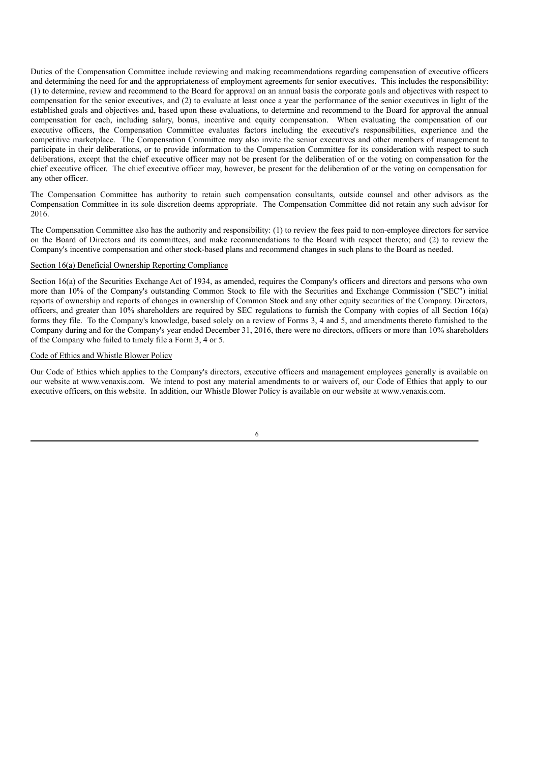Duties of the Compensation Committee include reviewing and making recommendations regarding compensation of executive officers and determining the need for and the appropriateness of employment agreements for senior executives. This includes the responsibility: (1) to determine, review and recommend to the Board for approval on an annual basis the corporate goals and objectives with respect to compensation for the senior executives, and (2) to evaluate at least once a year the performance of the senior executives in light of the established goals and objectives and, based upon these evaluations, to determine and recommend to the Board for approval the annual compensation for each, including salary, bonus, incentive and equity compensation. When evaluating the compensation of our executive officers, the Compensation Committee evaluates factors including the executive's responsibilities, experience and the competitive marketplace. The Compensation Committee may also invite the senior executives and other members of management to participate in their deliberations, or to provide information to the Compensation Committee for its consideration with respect to such deliberations, except that the chief executive officer may not be present for the deliberation of or the voting on compensation for the chief executive officer. The chief executive officer may, however, be present for the deliberation of or the voting on compensation for any other officer.

The Compensation Committee has authority to retain such compensation consultants, outside counsel and other advisors as the Compensation Committee in its sole discretion deems appropriate. The Compensation Committee did not retain any such advisor for 2016.

The Compensation Committee also has the authority and responsibility: (1) to review the fees paid to non-employee directors for service on the Board of Directors and its committees, and make recommendations to the Board with respect thereto; and (2) to review the Company's incentive compensation and other stock-based plans and recommend changes in such plans to the Board as needed.

# Section 16(a) Beneficial Ownership Reporting Compliance

Section 16(a) of the Securities Exchange Act of 1934, as amended, requires the Company's officers and directors and persons who own more than 10% of the Company's outstanding Common Stock to file with the Securities and Exchange Commission ("SEC") initial reports of ownership and reports of changes in ownership of Common Stock and any other equity securities of the Company. Directors, officers, and greater than 10% shareholders are required by SEC regulations to furnish the Company with copies of all Section 16(a) forms they file. To the Company's knowledge, based solely on a review of Forms 3, 4 and 5, and amendments thereto furnished to the Company during and for the Company's year ended December 31, 2016, there were no directors, officers or more than 10% shareholders of the Company who failed to timely file a Form 3, 4 or 5.

### Code of Ethics and Whistle Blower Policy

Our Code of Ethics which applies to the Company's directors, executive officers and management employees generally is available on our website at www.venaxis.com. We intend to post any material amendments to or waivers of, our Code of Ethics that apply to our executive officers, on this website. In addition, our Whistle Blower Policy is available on our website at www.venaxis.com.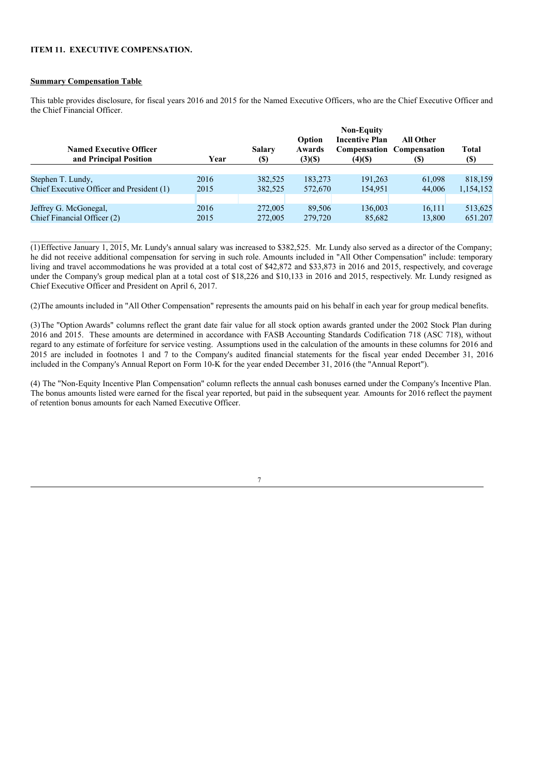### **ITEM 11. EXECUTIVE COMPENSATION.**

#### **Summary Compensation Table**

 $\mathcal{L}_\text{max}$ 

This table provides disclosure, for fiscal years 2016 and 2015 for the Named Executive Officers, who are the Chief Executive Officer and the Chief Financial Officer.

|                                                          |      |                              |                               | <b>Non-Equity</b>                  |                                                              |                      |
|----------------------------------------------------------|------|------------------------------|-------------------------------|------------------------------------|--------------------------------------------------------------|----------------------|
| <b>Named Executive Officer</b><br>and Principal Position | Year | <b>Salary</b><br><b>(\$)</b> | Option<br>Awards<br>$(3)(\$)$ | <b>Incentive Plan</b><br>$(4)(\$)$ | <b>All Other</b><br><b>Compensation Compensation</b><br>(\$) | <b>Total</b><br>(\$) |
|                                                          |      |                              |                               |                                    |                                                              |                      |
| Stephen T. Lundy,                                        | 2016 | 382,525                      | 183,273                       | 191,263                            | 61,098                                                       | 818,159              |
| Chief Executive Officer and President (1)                | 2015 | 382,525                      | 572,670                       | 154,951                            | 44,006                                                       | 1,154,152            |
|                                                          |      |                              |                               |                                    |                                                              |                      |
| Jeffrey G. McGonegal,                                    | 2016 | 272,005                      | 89.506                        | 136,003                            | 16,111                                                       | 513,625              |
| Chief Financial Officer (2)                              | 2015 | 272,005                      | 279,720                       | 85,682                             | 13,800                                                       | 651.207              |

(1)Effective January 1, 2015, Mr. Lundy's annual salary was increased to \$382,525. Mr. Lundy also served as a director of the Company; he did not receive additional compensation for serving in such role. Amounts included in "All Other Compensation" include: temporary living and travel accommodations he was provided at a total cost of \$42,872 and \$33,873 in 2016 and 2015, respectively, and coverage under the Company's group medical plan at a total cost of \$18,226 and \$10,133 in 2016 and 2015, respectively. Mr. Lundy resigned as Chief Executive Officer and President on April 6, 2017.

(2)The amounts included in "All Other Compensation" represents the amounts paid on his behalf in each year for group medical benefits.

(3)The "Option Awards" columns reflect the grant date fair value for all stock option awards granted under the 2002 Stock Plan during 2016 and 2015. These amounts are determined in accordance with FASB Accounting Standards Codification 718 (ASC 718), without regard to any estimate of forfeiture for service vesting. Assumptions used in the calculation of the amounts in these columns for 2016 and 2015 are included in footnotes 1 and 7 to the Company's audited financial statements for the fiscal year ended December 31, 2016 included in the Company's Annual Report on Form 10-K for the year ended December 31, 2016 (the "Annual Report").

(4) The "Non-Equity Incentive Plan Compensation" column reflects the annual cash bonuses earned under the Company's Incentive Plan. The bonus amounts listed were earned for the fiscal year reported, but paid in the subsequent year. Amounts for 2016 reflect the payment of retention bonus amounts for each Named Executive Officer.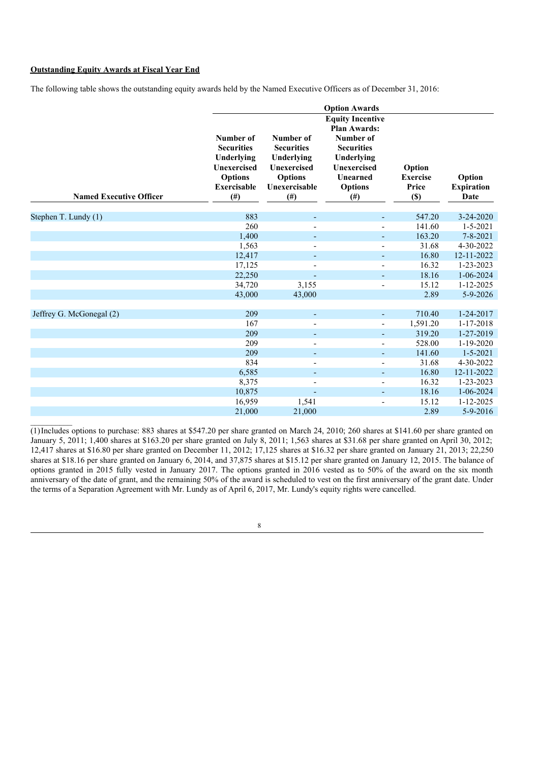# **Outstanding Equity Awards at Fiscal Year End**

The following table shows the outstanding equity awards held by the Named Executive Officers as of December 31, 2016:

|                                | <b>Option Awards</b>                                                                                             |                                                                                                                    |                                                                                                                                                   |                                              |                                     |  |  |  |
|--------------------------------|------------------------------------------------------------------------------------------------------------------|--------------------------------------------------------------------------------------------------------------------|---------------------------------------------------------------------------------------------------------------------------------------------------|----------------------------------------------|-------------------------------------|--|--|--|
| <b>Named Executive Officer</b> | Number of<br><b>Securities</b><br>Underlying<br>Unexercised<br><b>Options</b><br><b>Exercisable</b><br>$($ # $)$ | Number of<br><b>Securities</b><br>Underlying<br><b>Unexercised</b><br><b>Options</b><br>Unexercisable<br>$($ # $)$ | <b>Equity Incentive</b><br><b>Plan Awards:</b><br>Number of<br><b>Securities</b><br>Underlying<br>Unexercised<br>Unearned<br><b>Options</b><br>#) | Option<br><b>Exercise</b><br>Price<br>$(\$)$ | Option<br><b>Expiration</b><br>Date |  |  |  |
| Stephen T. Lundy (1)           | 883                                                                                                              |                                                                                                                    |                                                                                                                                                   | 547.20                                       | $3 - 24 - 2020$                     |  |  |  |
|                                | 260                                                                                                              |                                                                                                                    |                                                                                                                                                   | 141.60                                       | $1 - 5 - 2021$                      |  |  |  |
|                                | 1,400                                                                                                            | $\blacksquare$                                                                                                     | $\overline{a}$                                                                                                                                    | 163.20                                       | $7 - 8 - 2021$                      |  |  |  |
|                                | 1,563                                                                                                            | ٠                                                                                                                  | $\overline{a}$                                                                                                                                    | 31.68                                        | 4-30-2022                           |  |  |  |
|                                | 12,417                                                                                                           | ٠                                                                                                                  | ÷                                                                                                                                                 | 16.80                                        | 12-11-2022                          |  |  |  |
|                                | 17,125                                                                                                           |                                                                                                                    |                                                                                                                                                   | 16.32                                        | 1-23-2023                           |  |  |  |
|                                | 22,250                                                                                                           |                                                                                                                    |                                                                                                                                                   | 18.16                                        | 1-06-2024                           |  |  |  |
|                                | 34,720                                                                                                           | 3,155                                                                                                              | $\overline{a}$                                                                                                                                    | 15.12                                        | 1-12-2025                           |  |  |  |
|                                | 43,000                                                                                                           | 43,000                                                                                                             |                                                                                                                                                   | 2.89                                         | 5-9-2026                            |  |  |  |
| Jeffrey G. McGonegal (2)       | 209                                                                                                              | $\overline{\phantom{a}}$                                                                                           | ÷,                                                                                                                                                | 710.40                                       | 1-24-2017                           |  |  |  |
|                                | 167                                                                                                              |                                                                                                                    | $\overline{a}$                                                                                                                                    | 1,591.20                                     | $1 - 17 - 2018$                     |  |  |  |
|                                | 209                                                                                                              |                                                                                                                    |                                                                                                                                                   | 319.20                                       | 1-27-2019                           |  |  |  |
|                                | 209                                                                                                              |                                                                                                                    | $\overline{a}$                                                                                                                                    | 528.00                                       | 1-19-2020                           |  |  |  |
|                                | 209                                                                                                              | $\blacksquare$                                                                                                     | ÷,                                                                                                                                                | 141.60                                       | $1 - 5 - 2021$                      |  |  |  |
|                                | 834                                                                                                              | $\overline{\phantom{a}}$                                                                                           | $\overline{a}$                                                                                                                                    | 31.68                                        | 4-30-2022                           |  |  |  |
|                                | 6,585                                                                                                            | $\overline{\phantom{a}}$                                                                                           | $\overline{a}$                                                                                                                                    | 16.80                                        | 12-11-2022                          |  |  |  |
|                                | 8,375                                                                                                            | ٠                                                                                                                  | $\overline{a}$                                                                                                                                    | 16.32                                        | $1 - 23 - 2023$                     |  |  |  |
|                                | 10,875                                                                                                           |                                                                                                                    | $\overline{\phantom{0}}$                                                                                                                          | 18.16                                        | 1-06-2024                           |  |  |  |
|                                | 16,959                                                                                                           | 1,541                                                                                                              | $\overline{a}$                                                                                                                                    | 15.12                                        | $1 - 12 - 2025$                     |  |  |  |
|                                | 21,000                                                                                                           | 21,000                                                                                                             |                                                                                                                                                   | 2.89                                         | 5-9-2016                            |  |  |  |

 $\overline{(1)}$ Includes options to purchase: 883 shares at \$547.20 per share granted on March 24, 2010; 260 shares at \$141.60 per share granted on January 5, 2011; 1,400 shares at \$163.20 per share granted on July 8, 2011; 1,563 shares at \$31.68 per share granted on April 30, 2012; 12,417 shares at \$16.80 per share granted on December 11, 2012; 17,125 shares at \$16.32 per share granted on January 21, 2013; 22,250 shares at \$18.16 per share granted on January 6, 2014, and 37,875 shares at \$15.12 per share granted on January 12, 2015. The balance of options granted in 2015 fully vested in January 2017. The options granted in 2016 vested as to 50% of the award on the six month anniversary of the date of grant, and the remaining 50% of the award is scheduled to vest on the first anniversary of the grant date. Under the terms of a Separation Agreement with Mr. Lundy as of April 6, 2017, Mr. Lundy's equity rights were cancelled.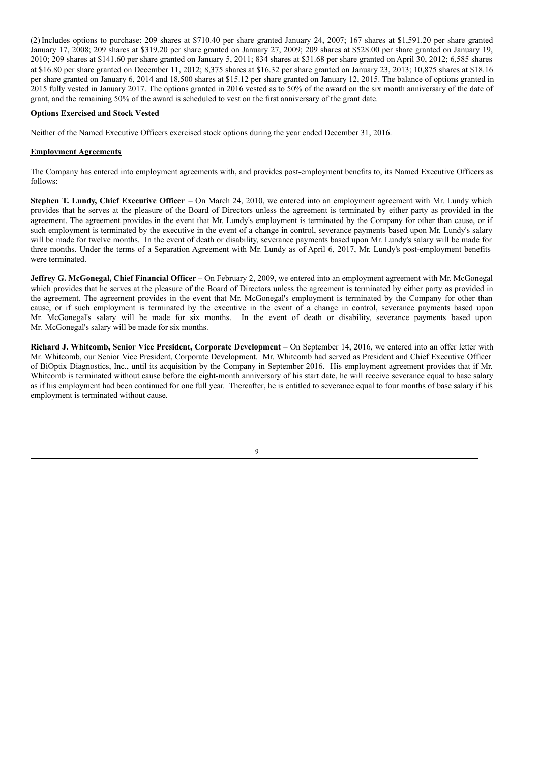(2) Includes options to purchase: 209 shares at \$710.40 per share granted January 24, 2007; 167 shares at \$1,591.20 per share granted January 17, 2008; 209 shares at \$319.20 per share granted on January 27, 2009; 209 shares at \$528.00 per share granted on January 19, 2010; 209 shares at \$141.60 per share granted on January 5, 2011; 834 shares at \$31.68 per share granted on April 30, 2012; 6,585 shares at \$16.80 per share granted on December 11, 2012; 8,375 shares at \$16.32 per share granted on January 23, 2013; 10,875 shares at \$18.16 per share granted on January 6, 2014 and 18,500 shares at \$15.12 per share granted on January 12, 2015. The balance of options granted in 2015 fully vested in January 2017. The options granted in 2016 vested as to 50% of the award on the six month anniversary of the date of grant, and the remaining 50% of the award is scheduled to vest on the first anniversary of the grant date.

## **Options Exercised and Stock Vested**

Neither of the Named Executive Officers exercised stock options during the year ended December 31, 2016.

## **Employment Agreements**

The Company has entered into employment agreements with, and provides post-employment benefits to, its Named Executive Officers as follows:

**Stephen T. Lundy, Chief Executive Officer** – On March 24, 2010, we entered into an employment agreement with Mr. Lundy which provides that he serves at the pleasure of the Board of Directors unless the agreement is terminated by either party as provided in the agreement. The agreement provides in the event that Mr. Lundy's employment is terminated by the Company for other than cause, or if such employment is terminated by the executive in the event of a change in control, severance payments based upon Mr. Lundy's salary will be made for twelve months. In the event of death or disability, severance payments based upon Mr. Lundy's salary will be made for three months. Under the terms of a Separation Agreement with Mr. Lundy as of April 6, 2017, Mr. Lundy's post-employment benefits were terminated.

**Jeffrey G. McGonegal, Chief Financial Officer** – On February 2, 2009, we entered into an employment agreement with Mr. McGonegal which provides that he serves at the pleasure of the Board of Directors unless the agreement is terminated by either party as provided in the agreement. The agreement provides in the event that Mr. McGonegal's employment is terminated by the Company for other than cause, or if such employment is terminated by the executive in the event of a change in control, severance payments based upon Mr. McGonegal's salary will be made for six months. In the event of death or disability, severance payments based upon Mr. McGonegal's salary will be made for six months.

**Richard J. Whitcomb, Senior Vice President, Corporate Development** – On September 14, 2016, we entered into an offer letter with Mr. Whitcomb, our Senior Vice President, Corporate Development. Mr. Whitcomb had served as President and Chief Executive Officer of BiOptix Diagnostics, Inc., until its acquisition by the Company in September 2016. His employment agreement provides that if Mr. Whitcomb is terminated without cause before the eight-month anniversary of his start date, he will receive severance equal to base salary as if his employment had been continued for one full year. Thereafter, he is entitled to severance equal to four months of base salary if his employment is terminated without cause.

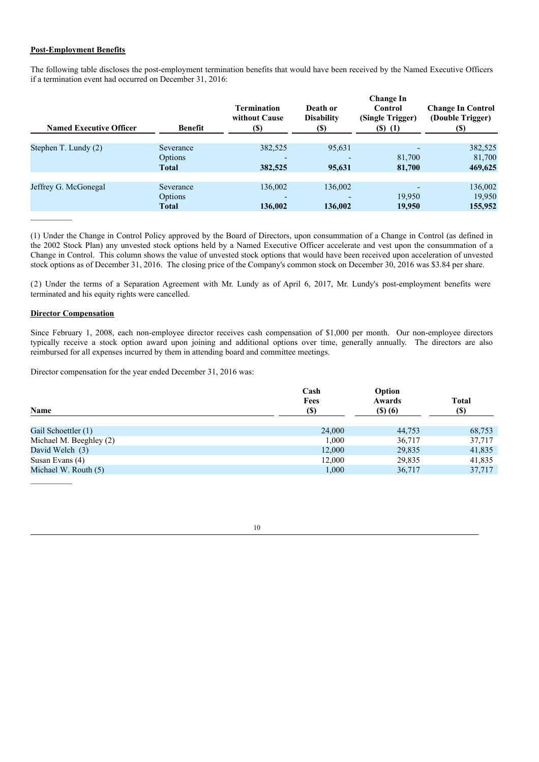## **Post-Employment Benefits**

The following table discloses the post-employment termination benefits that would have been received by the Named Executive Officers if a termination event had occurred on December 31, 2016:

| <b>Named Executive Officer</b> | <b>Benefit</b>                       | <b>Termination</b><br>without Cause<br><b>(\$)</b> | Death or<br><b>Disability</b><br><b>(\$)</b> | Change In<br>Control<br>(Single Trigger)<br>(3)(1) | <b>Change In Control</b><br>(Double Trigger)<br>(\$) |
|--------------------------------|--------------------------------------|----------------------------------------------------|----------------------------------------------|----------------------------------------------------|------------------------------------------------------|
| Stephen T. Lundy (2)           | Severance<br>Options<br><b>Total</b> | 382,525<br>$\overline{\phantom{0}}$<br>382,525     | 95,631<br>$\overline{\phantom{0}}$<br>95,631 | 81,700<br>81,700                                   | 382,525<br>81,700<br>469,625                         |
| Jeffrey G. McGonegal           | Severance<br>Options<br><b>Total</b> | 136,002<br>136,002                                 | 136,002<br>136,002                           | 19,950<br>19,950                                   | 136,002<br>19,950<br>155,952                         |

(1) Under the Change in Control Policy approved by the Board of Directors, upon consummation of a Change in Control (as defined in the 2002 Stock Plan) any unvested stock options held by a Named Executive Officer accelerate and vest upon the consummation of a Change in Control. This column shows the value of unvested stock options that would have been received upon acceleration of unvested stock options as of December 31, 2016. The closing price of the Company's common stock on December 30, 2016 was \$3.84 per share.

(2) Under the terms of a Separation Agreement with Mr. Lundy as of April 6, 2017, Mr. Lundy's post-employment benefits were terminated and his equity rights were cancelled.

## **Director Compensation**

Since February 1, 2008, each non-employee director receives cash compensation of \$1,000 per month. Our non-employee directors typically receive a stock option award upon joining and additional options over time, generally annually. The directors are also reimbursed for all expenses incurred by them in attending board and committee meetings.

Director compensation for the year ended December 31, 2016 was:

| Name                    | Cash<br>Fees<br>(\$) | Option<br>Awards<br>$($ \$) $(6)$ | <b>Total</b><br>(S) |
|-------------------------|----------------------|-----------------------------------|---------------------|
| Gail Schoettler (1)     | 24,000               | 44,753                            | 68,753              |
| Michael M. Beeghley (2) | 1.000                | 36,717                            | 37,717              |
| David Welch (3)         | 12,000               | 29,835                            | 41,835              |
| Susan Evans (4)         | 12,000               | 29,835                            | 41,835              |
| Michael W. Routh (5)    | 1,000                | 36,717                            | 37,717              |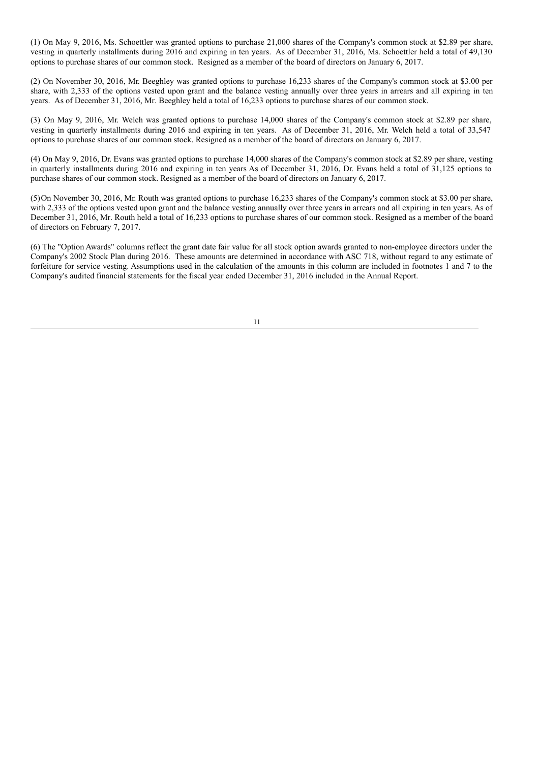(1) On May 9, 2016, Ms. Schoettler was granted options to purchase 21,000 shares of the Company's common stock at \$2.89 per share, vesting in quarterly installments during 2016 and expiring in ten years. As of December 31, 2016, Ms. Schoettler held a total of 49,130 options to purchase shares of our common stock. Resigned as a member of the board of directors on January 6, 2017.

(2) On November 30, 2016, Mr. Beeghley was granted options to purchase 16,233 shares of the Company's common stock at \$3.00 per share, with 2,333 of the options vested upon grant and the balance vesting annually over three years in arrears and all expiring in ten years. As of December 31, 2016, Mr. Beeghley held a total of 16,233 options to purchase shares of our common stock.

(3) On May 9, 2016, Mr. Welch was granted options to purchase 14,000 shares of the Company's common stock at \$2.89 per share, vesting in quarterly installments during 2016 and expiring in ten years. As of December 31, 2016, Mr. Welch held a total of 33,547 options to purchase shares of our common stock. Resigned as a member of the board of directors on January 6, 2017.

(4) On May 9, 2016, Dr. Evans was granted options to purchase 14,000 shares of the Company's common stock at \$2.89 per share, vesting in quarterly installments during 2016 and expiring in ten years As of December 31, 2016, Dr. Evans held a total of 31,125 options to purchase shares of our common stock. Resigned as a member of the board of directors on January 6, 2017.

(5)On November 30, 2016, Mr. Routh was granted options to purchase 16,233 shares of the Company's common stock at \$3.00 per share, with 2,333 of the options vested upon grant and the balance vesting annually over three years in arrears and all expiring in ten years. As of December 31, 2016, Mr. Routh held a total of 16,233 options to purchase shares of our common stock. Resigned as a member of the board of directors on February 7, 2017.

(6) The "Option Awards" columns reflect the grant date fair value for all stock option awards granted to non-employee directors under the Company's 2002 Stock Plan during 2016. These amounts are determined in accordance with ASC 718, without regard to any estimate of forfeiture for service vesting. Assumptions used in the calculation of the amounts in this column are included in footnotes 1 and 7 to the Company's audited financial statements for the fiscal year ended December 31, 2016 included in the Annual Report.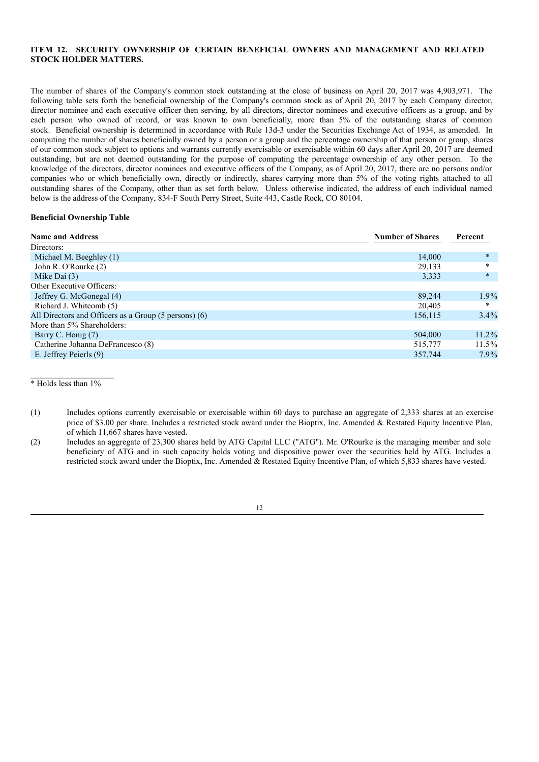## **ITEM 12. SECURITY OWNERSHIP OF CERTAIN BENEFICIAL OWNERS AND MANAGEMENT AND RELATED STOCK HOLDER MATTERS.**

The number of shares of the Company's common stock outstanding at the close of business on April 20, 2017 was 4,903,971. The following table sets forth the beneficial ownership of the Company's common stock as of April 20, 2017 by each Company director, director nominee and each executive officer then serving, by all directors, director nominees and executive officers as a group, and by each person who owned of record, or was known to own beneficially, more than 5% of the outstanding shares of common stock. Beneficial ownership is determined in accordance with Rule 13d-3 under the Securities Exchange Act of 1934, as amended. In computing the number of shares beneficially owned by a person or a group and the percentage ownership of that person or group, shares of our common stock subject to options and warrants currently exercisable or exercisable within 60 days after April 20, 2017 are deemed outstanding, but are not deemed outstanding for the purpose of computing the percentage ownership of any other person. To the knowledge of the directors, director nominees and executive officers of the Company, as of April 20, 2017, there are no persons and/or companies who or which beneficially own, directly or indirectly, shares carrying more than 5% of the voting rights attached to all outstanding shares of the Company, other than as set forth below. Unless otherwise indicated, the address of each individual named below is the address of the Company, 834-F South Perry Street, Suite 443, Castle Rock, CO 80104.

#### **Beneficial Ownership Table**

| <b>Name and Address</b>                               | <b>Number of Shares</b> | Percent  |
|-------------------------------------------------------|-------------------------|----------|
| Directors:                                            |                         |          |
| Michael M. Beeghley (1)                               | 14,000                  | $*$      |
| John R. O'Rourke (2)                                  | 29,133                  | $*$      |
| Mike Dai (3)                                          | 3,333                   | $*$      |
| Other Executive Officers:                             |                         |          |
| Jeffrey G. McGonegal (4)                              | 89,244                  | $1.9\%$  |
| Richard J. Whitcomb (5)                               | 20,405                  | *        |
| All Directors and Officers as a Group (5 persons) (6) | 156,115                 | $3.4\%$  |
| More than 5% Shareholders:                            |                         |          |
| Barry C. Honig (7)                                    | 504,000                 | $11.2\%$ |
| Catherine Johanna DeFrancesco (8)                     | 515,777                 | $11.5\%$ |
| E. Jeffrey Peierls (9)                                | 357,744                 | $7.9\%$  |
|                                                       |                         |          |

\* Holds less than 1%

- (1) Includes options currently exercisable or exercisable within 60 days to purchase an aggregate of 2,333 shares at an exercise price of \$3.00 per share. Includes a restricted stock award under the Bioptix, Inc. Amended & Restated Equity Incentive Plan, of which 11,667 shares have vested.
- (2) Includes an aggregate of 23,300 shares held by ATG Capital LLC ("ATG"). Mr. O'Rourke is the managing member and sole beneficiary of ATG and in such capacity holds voting and dispositive power over the securities held by ATG. Includes a restricted stock award under the Bioptix, Inc. Amended & Restated Equity Incentive Plan, of which 5,833 shares have vested.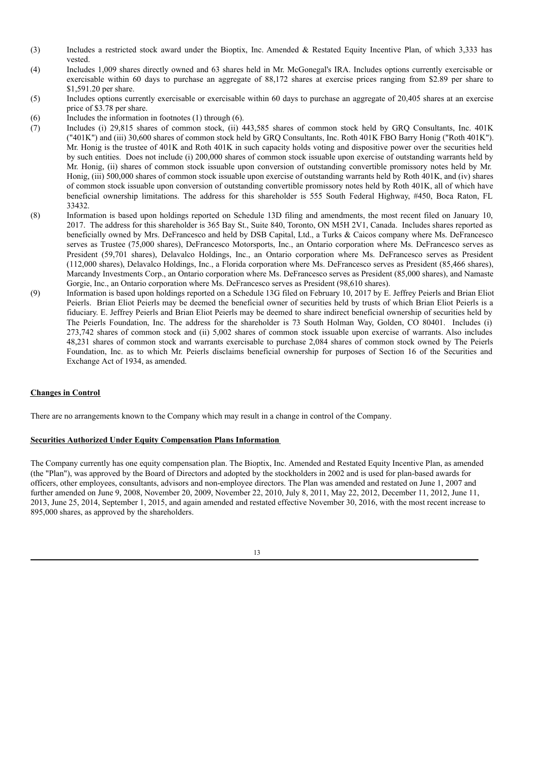- (3) Includes a restricted stock award under the Bioptix, Inc. Amended & Restated Equity Incentive Plan, of which 3,333 has vested.
- (4) Includes 1,009 shares directly owned and 63 shares held in Mr. McGonegal's IRA. Includes options currently exercisable or exercisable within 60 days to purchase an aggregate of 88,172 shares at exercise prices ranging from \$2.89 per share to \$1,591.20 per share.
- (5) Includes options currently exercisable or exercisable within 60 days to purchase an aggregate of 20,405 shares at an exercise price of \$3.78 per share.
- (6) Includes the information in footnotes (1) through (6).
- (7) Includes (i) 29,815 shares of common stock, (ii) 443,585 shares of common stock held by GRQ Consultants, Inc. 401K ("401K") and (iii) 30,600 shares of common stock held by GRQ Consultants, Inc. Roth 401K FBO Barry Honig ("Roth 401K"). Mr. Honig is the trustee of 401K and Roth 401K in such capacity holds voting and dispositive power over the securities held by such entities. Does not include (i) 200,000 shares of common stock issuable upon exercise of outstanding warrants held by Mr. Honig, (ii) shares of common stock issuable upon conversion of outstanding convertible promissory notes held by Mr. Honig, (iii) 500,000 shares of common stock issuable upon exercise of outstanding warrants held by Roth 401K, and (iv) shares of common stock issuable upon conversion of outstanding convertible promissory notes held by Roth 401K, all of which have beneficial ownership limitations. The address for this shareholder is 555 South Federal Highway, #450, Boca Raton, FL 33432.
- (8) Information is based upon holdings reported on Schedule 13D filing and amendments, the most recent filed on January 10, 2017. The address for this shareholder is 365 Bay St., Suite 840, Toronto, ON M5H 2V1, Canada. Includes shares reported as beneficially owned by Mrs. DeFrancesco and held by DSB Capital, Ltd., a Turks & Caicos company where Ms. DeFrancesco serves as Trustee (75,000 shares), DeFrancesco Motorsports, Inc., an Ontario corporation where Ms. DeFrancesco serves as President (59,701 shares), Delavalco Holdings, Inc., an Ontario corporation where Ms. DeFrancesco serves as President (112,000 shares), Delavalco Holdings, Inc., a Florida corporation where Ms. DeFrancesco serves as President (85,466 shares), Marcandy Investments Corp., an Ontario corporation where Ms. DeFrancesco serves as President (85,000 shares), and Namaste Gorgie, Inc., an Ontario corporation where Ms. DeFrancesco serves as President (98,610 shares).
- (9) Information is based upon holdings reported on a Schedule 13G filed on February 10, 2017 by E. Jeffrey Peierls and Brian Eliot Peierls. Brian Eliot Peierls may be deemed the beneficial owner of securities held by trusts of which Brian Eliot Peierls is a fiduciary. E. Jeffrey Peierls and Brian Eliot Peierls may be deemed to share indirect beneficial ownership of securities held by The Peierls Foundation, Inc. The address for the shareholder is 73 South Holman Way, Golden, CO 80401. Includes (i) 273,742 shares of common stock and (ii) 5,002 shares of common stock issuable upon exercise of warrants. Also includes 48,231 shares of common stock and warrants exercisable to purchase 2,084 shares of common stock owned by The Peierls Foundation, Inc. as to which Mr. Peierls disclaims beneficial ownership for purposes of Section 16 of the Securities and Exchange Act of 1934, as amended.

# **Changes in Control**

There are no arrangements known to the Company which may result in a change in control of the Company.

## **Securities Authorized Under Equity Compensation Plans Information**

The Company currently has one equity compensation plan. The Bioptix, Inc. Amended and Restated Equity Incentive Plan, as amended (the "Plan"), was approved by the Board of Directors and adopted by the stockholders in 2002 and is used for plan-based awards for officers, other employees, consultants, advisors and non-employee directors. The Plan was amended and restated on June 1, 2007 and further amended on June 9, 2008, November 20, 2009, November 22, 2010, July 8, 2011, May 22, 2012, December 11, 2012, June 11, 2013, June 25, 2014, September 1, 2015, and again amended and restated effective November 30, 2016, with the most recent increase to 895,000 shares, as approved by the shareholders.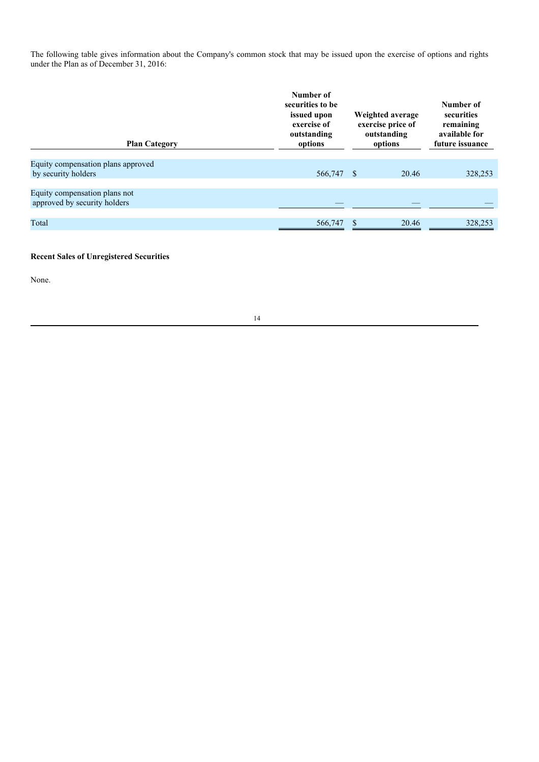The following table gives information about the Company's common stock that may be issued upon the exercise of options and rights under the Plan as of December 31, 2016:

| <b>Plan Category</b>                                      | Number of<br>securities to be<br>issued upon<br>exercise of<br>outstanding<br>options | Weighted average<br>exercise price of<br>outstanding<br>options | Number of<br>securities<br>remaining<br>available for<br>future issuance |
|-----------------------------------------------------------|---------------------------------------------------------------------------------------|-----------------------------------------------------------------|--------------------------------------------------------------------------|
| Equity compensation plans approved<br>by security holders | 566,747 \$                                                                            |                                                                 | 20.46<br>328,253                                                         |
|                                                           |                                                                                       |                                                                 |                                                                          |
| Equity compensation plans not                             |                                                                                       |                                                                 |                                                                          |
| approved by security holders                              |                                                                                       |                                                                 |                                                                          |
|                                                           |                                                                                       |                                                                 |                                                                          |
| Total                                                     | 566,747                                                                               |                                                                 | 20.46<br>328,253                                                         |

# **Recent Sales of Unregistered Securities**

None.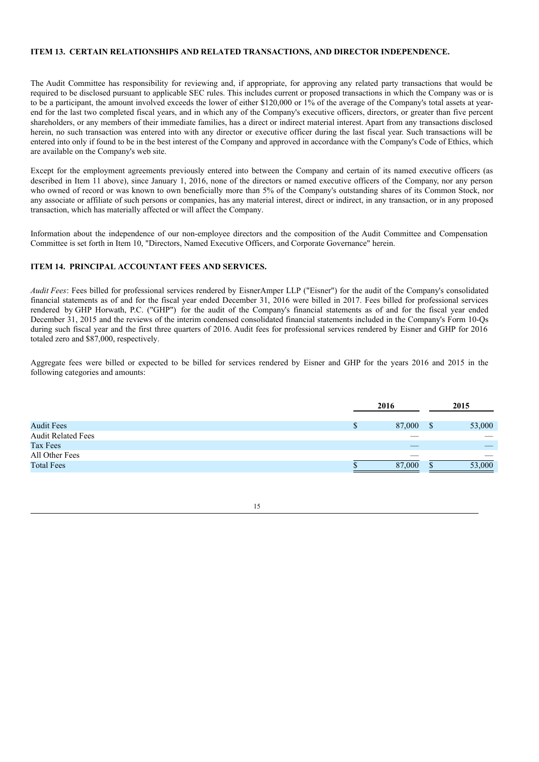## **ITEM 13. CERTAIN RELATIONSHIPS AND RELATED TRANSACTIONS, AND DIRECTOR INDEPENDENCE.**

The Audit Committee has responsibility for reviewing and, if appropriate, for approving any related party transactions that would be required to be disclosed pursuant to applicable SEC rules. This includes current or proposed transactions in which the Company was or is to be a participant, the amount involved exceeds the lower of either \$120,000 or 1% of the average of the Company's total assets at yearend for the last two completed fiscal years, and in which any of the Company's executive officers, directors, or greater than five percent shareholders, or any members of their immediate families, has a direct or indirect material interest. Apart from any transactions disclosed herein, no such transaction was entered into with any director or executive officer during the last fiscal year. Such transactions will be entered into only if found to be in the best interest of the Company and approved in accordance with the Company's Code of Ethics, which are available on the Company's web site.

Except for the employment agreements previously entered into between the Company and certain of its named executive officers (as described in Item 11 above), since January 1, 2016, none of the directors or named executive officers of the Company, nor any person who owned of record or was known to own beneficially more than 5% of the Company's outstanding shares of its Common Stock, nor any associate or affiliate of such persons or companies, has any material interest, direct or indirect, in any transaction, or in any proposed transaction, which has materially affected or will affect the Company.

Information about the independence of our non-employee directors and the composition of the Audit Committee and Compensation Committee is set forth in Item 10, "Directors, Named Executive Officers, and Corporate Governance" herein.

# **ITEM 14. PRINCIPAL ACCOUNTANT FEES AND SERVICES.**

*Audit Fees*: Fees billed for professional services rendered by EisnerAmper LLP ("Eisner") for the audit of the Company's consolidated financial statements as of and for the fiscal year ended December 31, 2016 were billed in 2017. Fees billed for professional services rendered by GHP Horwath, P.C. ("GHP") for the audit of the Company's financial statements as of and for the fiscal year ended December 31, 2015 and the reviews of the interim condensed consolidated financial statements included in the Company's Form 10-Qs during such fiscal year and the first three quarters of 2016. Audit fees for professional services rendered by Eisner and GHP for 2016 totaled zero and \$87,000, respectively.

Aggregate fees were billed or expected to be billed for services rendered by Eisner and GHP for the years 2016 and 2015 in the following categories and amounts:

|                           |   | 2016   |               | 2015   |  |
|---------------------------|---|--------|---------------|--------|--|
|                           |   |        |               |        |  |
| <b>Audit Fees</b>         | S | 87,000 | <sup>\$</sup> | 53,000 |  |
| <b>Audit Related Fees</b> |   |        |               |        |  |
| Tax Fees                  |   |        |               |        |  |
| All Other Fees            |   |        |               |        |  |
| <b>Total Fees</b>         |   | 87,000 |               | 53,000 |  |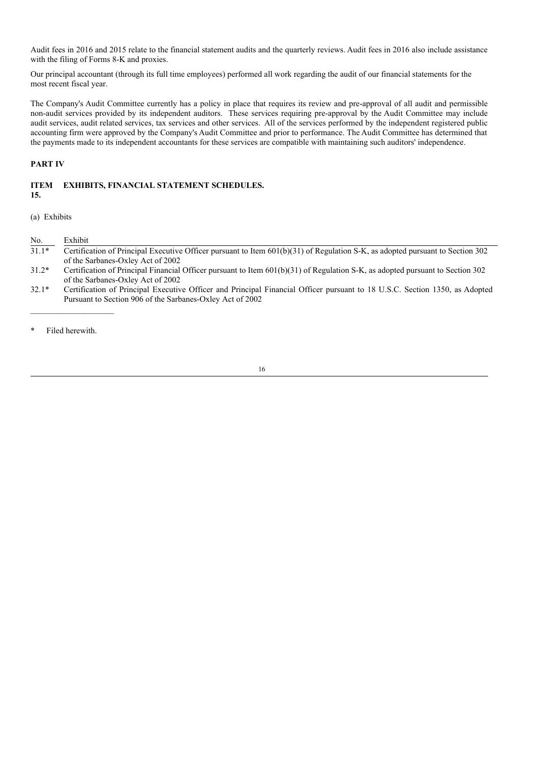Audit fees in 2016 and 2015 relate to the financial statement audits and the quarterly reviews. Audit fees in 2016 also include assistance with the filing of Forms 8-K and proxies.

Our principal accountant (through its full time employees) performed all work regarding the audit of our financial statements for the most recent fiscal year.

The Company's Audit Committee currently has a policy in place that requires its review and pre-approval of all audit and permissible non-audit services provided by its independent auditors. These services requiring pre-approval by the Audit Committee may include audit services, audit related services, tax services and other services. All of the services performed by the independent registered public accounting firm were approved by the Company's Audit Committee and prior to performance. The Audit Committee has determined that the payments made to its independent accountants for these services are compatible with maintaining such auditors' independence.

## **PART IV**

#### **ITEM EXHIBITS, FINANCIAL STATEMENT SCHEDULES. 15.**

(a) Exhibits

No. Exhibit

- 31.1\* Certification of Principal Executive Officer pursuant to Item 601(b)(31) of Regulation S-K, as adopted pursuant to Section 302 of the Sarbanes-Oxley Act of 2002
- 31.2\* Certification of Principal Financial Officer pursuant to Item 601(b)(31) of Regulation S-K, as adopted pursuant to Section 302 of the Sarbanes-Oxley Act of 2002
- 32.1\* Certification of Principal Executive Officer and Principal Financial Officer pursuant to 18 U.S.C. Section 1350, as Adopted Pursuant to Section 906 of the Sarbanes-Oxley Act of 2002
- Filed herewith.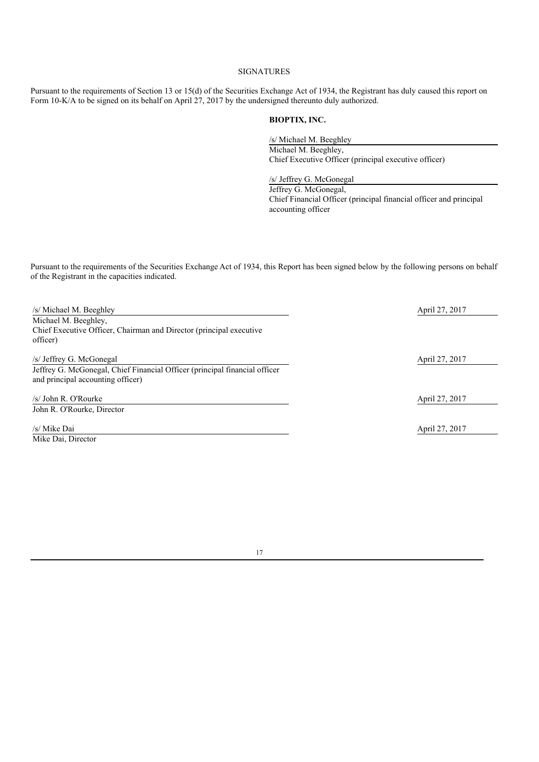#### SIGNATURES

Pursuant to the requirements of Section 13 or 15(d) of the Securities Exchange Act of 1934, the Registrant has duly caused this report on Form 10-K/A to be signed on its behalf on April 27, 2017 by the undersigned thereunto duly authorized.

## **BIOPTIX, INC.**

/s/ Michael M. Beeghley Michael M. Beeghley,

Chief Executive Officer (principal executive officer)

/s/ Jeffrey G. McGonegal

Jeffrey G. McGonegal, Chief Financial Officer (principal financial officer and principal accounting officer

Pursuant to the requirements of the Securities Exchange Act of 1934, this Report has been signed below by the following persons on behalf of the Registrant in the capacities indicated.

| /s/ Michael M. Beeghley                                                    | April 27, 2017 |
|----------------------------------------------------------------------------|----------------|
| Michael M. Beeghley,                                                       |                |
| Chief Executive Officer, Chairman and Director (principal executive        |                |
| officer)                                                                   |                |
| /s/ Jeffrey G. McGonegal                                                   | April 27, 2017 |
| Jeffrey G. McGonegal, Chief Financial Officer (principal financial officer |                |
| and principal accounting officer)                                          |                |
| /s/ John R. O'Rourke                                                       | April 27, 2017 |
| John R. O'Rourke, Director                                                 |                |
| /s/ Mike Dai                                                               | April 27, 2017 |
| Mike Dai, Director                                                         |                |

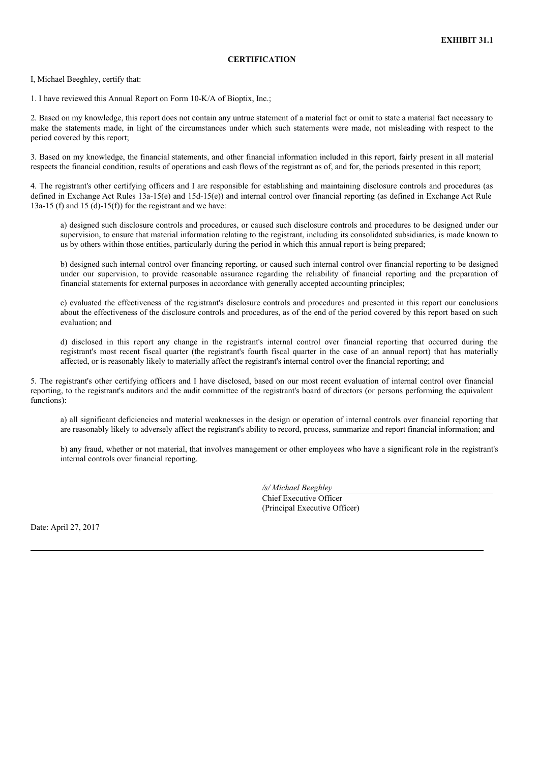## **CERTIFICATION**

I, Michael Beeghley, certify that:

1. I have reviewed this Annual Report on Form 10-K/A of Bioptix, Inc.;

2. Based on my knowledge, this report does not contain any untrue statement of a material fact or omit to state a material fact necessary to make the statements made, in light of the circumstances under which such statements were made, not misleading with respect to the period covered by this report;

3. Based on my knowledge, the financial statements, and other financial information included in this report, fairly present in all material respects the financial condition, results of operations and cash flows of the registrant as of, and for, the periods presented in this report;

4. The registrant's other certifying officers and I are responsible for establishing and maintaining disclosure controls and procedures (as defined in Exchange Act Rules 13a-15(e) and 15d-15(e)) and internal control over financial reporting (as defined in Exchange Act Rule 13a-15 (f) and 15 (d)-15(f)) for the registrant and we have:

a) designed such disclosure controls and procedures, or caused such disclosure controls and procedures to be designed under our supervision, to ensure that material information relating to the registrant, including its consolidated subsidiaries, is made known to us by others within those entities, particularly during the period in which this annual report is being prepared;

b) designed such internal control over financing reporting, or caused such internal control over financial reporting to be designed under our supervision, to provide reasonable assurance regarding the reliability of financial reporting and the preparation of financial statements for external purposes in accordance with generally accepted accounting principles;

c) evaluated the effectiveness of the registrant's disclosure controls and procedures and presented in this report our conclusions about the effectiveness of the disclosure controls and procedures, as of the end of the period covered by this report based on such evaluation; and

d) disclosed in this report any change in the registrant's internal control over financial reporting that occurred during the registrant's most recent fiscal quarter (the registrant's fourth fiscal quarter in the case of an annual report) that has materially affected, or is reasonably likely to materially affect the registrant's internal control over the financial reporting; and

5. The registrant's other certifying officers and I have disclosed, based on our most recent evaluation of internal control over financial reporting, to the registrant's auditors and the audit committee of the registrant's board of directors (or persons performing the equivalent functions):

a) all significant deficiencies and material weaknesses in the design or operation of internal controls over financial reporting that are reasonably likely to adversely affect the registrant's ability to record, process, summarize and report financial information; and

b) any fraud, whether or not material, that involves management or other employees who have a significant role in the registrant's internal controls over financial reporting.

*/s/ Michael Beeghley*

Chief Executive Officer (Principal Executive Officer)

Date: April 27, 2017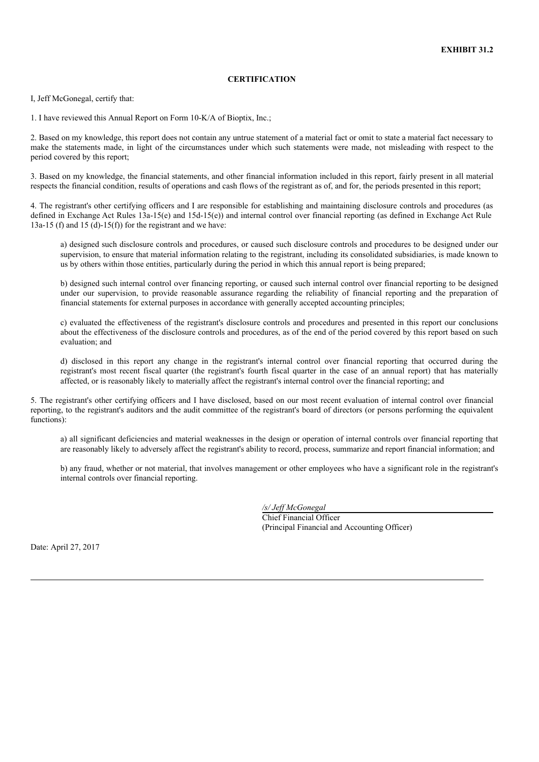## **CERTIFICATION**

I, Jeff McGonegal, certify that:

1. I have reviewed this Annual Report on Form 10-K/A of Bioptix, Inc.;

2. Based on my knowledge, this report does not contain any untrue statement of a material fact or omit to state a material fact necessary to make the statements made, in light of the circumstances under which such statements were made, not misleading with respect to the period covered by this report;

3. Based on my knowledge, the financial statements, and other financial information included in this report, fairly present in all material respects the financial condition, results of operations and cash flows of the registrant as of, and for, the periods presented in this report;

4. The registrant's other certifying officers and I are responsible for establishing and maintaining disclosure controls and procedures (as defined in Exchange Act Rules 13a-15(e) and 15d-15(e)) and internal control over financial reporting (as defined in Exchange Act Rule 13a-15 (f) and 15 (d)-15(f)) for the registrant and we have:

a) designed such disclosure controls and procedures, or caused such disclosure controls and procedures to be designed under our supervision, to ensure that material information relating to the registrant, including its consolidated subsidiaries, is made known to us by others within those entities, particularly during the period in which this annual report is being prepared;

b) designed such internal control over financing reporting, or caused such internal control over financial reporting to be designed under our supervision, to provide reasonable assurance regarding the reliability of financial reporting and the preparation of financial statements for external purposes in accordance with generally accepted accounting principles;

c) evaluated the effectiveness of the registrant's disclosure controls and procedures and presented in this report our conclusions about the effectiveness of the disclosure controls and procedures, as of the end of the period covered by this report based on such evaluation; and

d) disclosed in this report any change in the registrant's internal control over financial reporting that occurred during the registrant's most recent fiscal quarter (the registrant's fourth fiscal quarter in the case of an annual report) that has materially affected, or is reasonably likely to materially affect the registrant's internal control over the financial reporting; and

5. The registrant's other certifying officers and I have disclosed, based on our most recent evaluation of internal control over financial reporting, to the registrant's auditors and the audit committee of the registrant's board of directors (or persons performing the equivalent functions):

a) all significant deficiencies and material weaknesses in the design or operation of internal controls over financial reporting that are reasonably likely to adversely affect the registrant's ability to record, process, summarize and report financial information; and

b) any fraud, whether or not material, that involves management or other employees who have a significant role in the registrant's internal controls over financial reporting.

> */s/ Jef McGonegal* Chief Financial Officer (Principal Financial and Accounting Officer)

Date: April 27, 2017